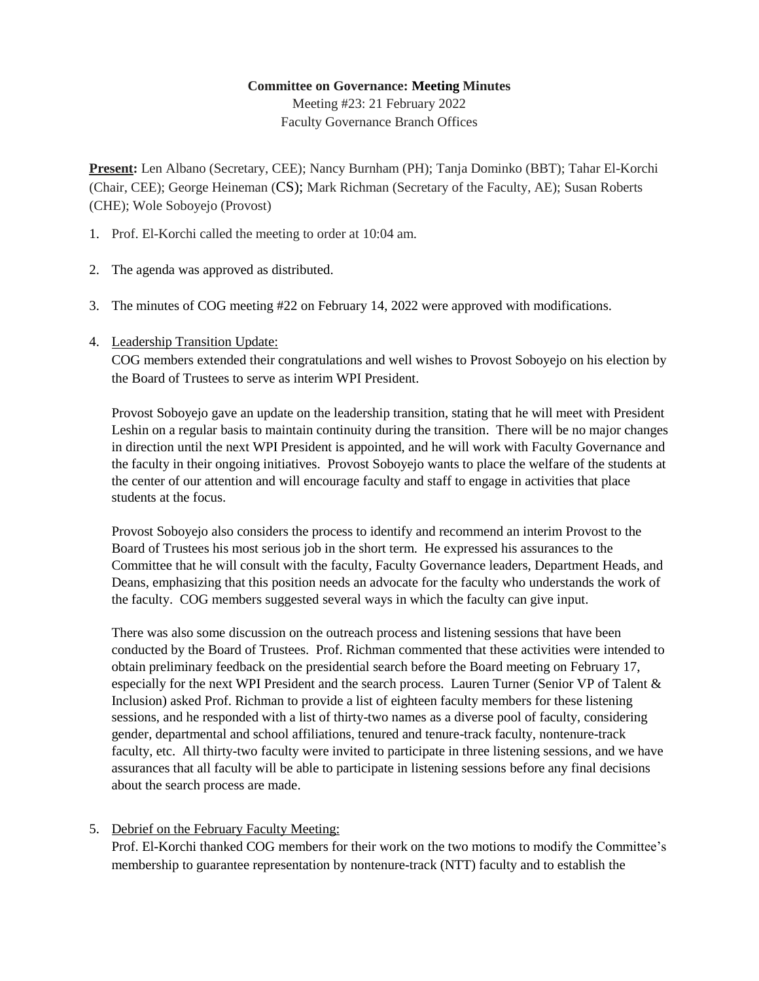## **Committee on Governance: Meeting Minutes**

Meeting #23: 21 February 2022 Faculty Governance Branch Offices

**Present:** Len Albano (Secretary, CEE); Nancy Burnham (PH); Tanja Dominko (BBT); Tahar El-Korchi (Chair, CEE); George Heineman (CS); Mark Richman (Secretary of the Faculty, AE); Susan Roberts (CHE); Wole Soboyejo (Provost)

- 1. Prof. El-Korchi called the meeting to order at 10:04 am.
- 2. The agenda was approved as distributed.
- 3. The minutes of COG meeting #22 on February 14, 2022 were approved with modifications.
- 4. Leadership Transition Update:

COG members extended their congratulations and well wishes to Provost Soboyejo on his election by the Board of Trustees to serve as interim WPI President.

Provost Soboyejo gave an update on the leadership transition, stating that he will meet with President Leshin on a regular basis to maintain continuity during the transition. There will be no major changes in direction until the next WPI President is appointed, and he will work with Faculty Governance and the faculty in their ongoing initiatives. Provost Soboyejo wants to place the welfare of the students at the center of our attention and will encourage faculty and staff to engage in activities that place students at the focus.

Provost Soboyejo also considers the process to identify and recommend an interim Provost to the Board of Trustees his most serious job in the short term. He expressed his assurances to the Committee that he will consult with the faculty, Faculty Governance leaders, Department Heads, and Deans, emphasizing that this position needs an advocate for the faculty who understands the work of the faculty. COG members suggested several ways in which the faculty can give input.

There was also some discussion on the outreach process and listening sessions that have been conducted by the Board of Trustees. Prof. Richman commented that these activities were intended to obtain preliminary feedback on the presidential search before the Board meeting on February 17, especially for the next WPI President and the search process. Lauren Turner (Senior VP of Talent & Inclusion) asked Prof. Richman to provide a list of eighteen faculty members for these listening sessions, and he responded with a list of thirty-two names as a diverse pool of faculty, considering gender, departmental and school affiliations, tenured and tenure-track faculty, nontenure-track faculty, etc. All thirty-two faculty were invited to participate in three listening sessions, and we have assurances that all faculty will be able to participate in listening sessions before any final decisions about the search process are made.

## 5. Debrief on the February Faculty Meeting:

Prof. El-Korchi thanked COG members for their work on the two motions to modify the Committee's membership to guarantee representation by nontenure-track (NTT) faculty and to establish the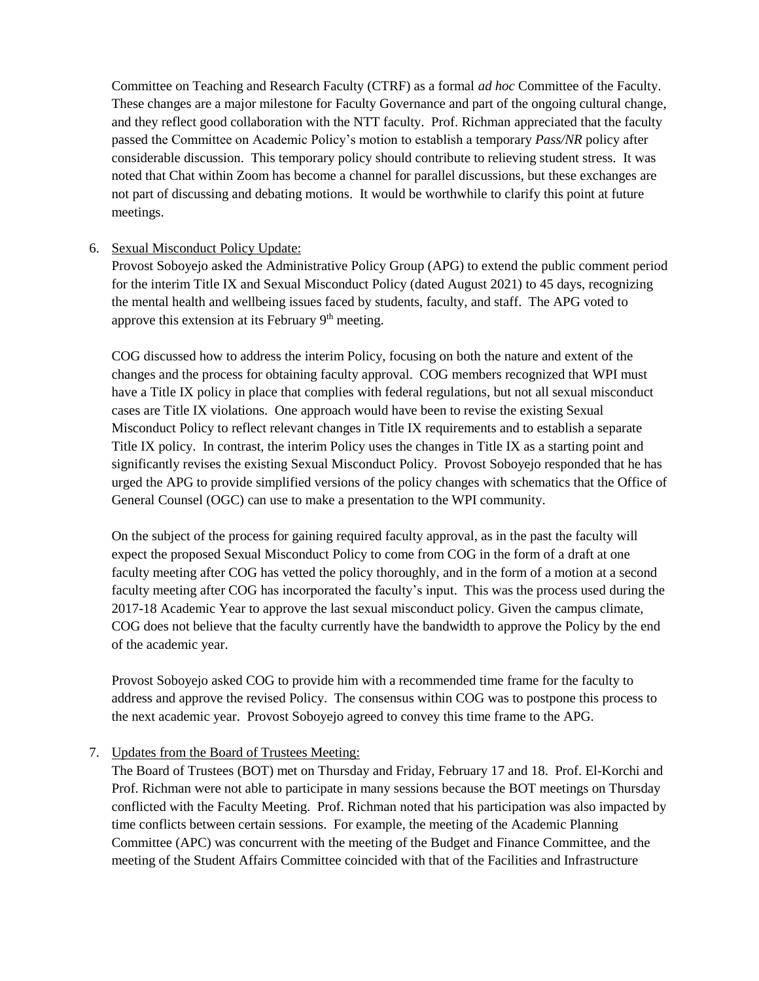Committee on Teaching and Research Faculty (CTRF) as a formal *ad hoc* Committee of the Faculty. These changes are a major milestone for Faculty Governance and part of the ongoing cultural change, and they reflect good collaboration with the NTT faculty. Prof. Richman appreciated that the faculty passed the Committee on Academic Policy's motion to establish a temporary *Pass/NR* policy after considerable discussion. This temporary policy should contribute to relieving student stress. It was noted that Chat within Zoom has become a channel for parallel discussions, but these exchanges are not part of discussing and debating motions. It would be worthwhile to clarify this point at future meetings.

## 6. Sexual Misconduct Policy Update:

Provost Soboyejo asked the Administrative Policy Group (APG) to extend the public comment period for the interim Title IX and Sexual Misconduct Policy (dated August 2021) to 45 days, recognizing the mental health and wellbeing issues faced by students, faculty, and staff. The APG voted to approve this extension at its February  $9<sup>th</sup>$  meeting.

COG discussed how to address the interim Policy, focusing on both the nature and extent of the changes and the process for obtaining faculty approval. COG members recognized that WPI must have a Title IX policy in place that complies with federal regulations, but not all sexual misconduct cases are Title IX violations. One approach would have been to revise the existing Sexual Misconduct Policy to reflect relevant changes in Title IX requirements and to establish a separate Title IX policy. In contrast, the interim Policy uses the changes in Title IX as a starting point and significantly revises the existing Sexual Misconduct Policy. Provost Soboyejo responded that he has urged the APG to provide simplified versions of the policy changes with schematics that the Office of General Counsel (OGC) can use to make a presentation to the WPI community.

On the subject of the process for gaining required faculty approval, as in the past the faculty will expect the proposed Sexual Misconduct Policy to come from COG in the form of a draft at one faculty meeting after COG has vetted the policy thoroughly, and in the form of a motion at a second faculty meeting after COG has incorporated the faculty's input. This was the process used during the 2017-18 Academic Year to approve the last sexual misconduct policy. Given the campus climate, COG does not believe that the faculty currently have the bandwidth to approve the Policy by the end of the academic year.

Provost Soboyejo asked COG to provide him with a recommended time frame for the faculty to address and approve the revised Policy. The consensus within COG was to postpone this process to the next academic year. Provost Soboyejo agreed to convey this time frame to the APG.

## 7. Updates from the Board of Trustees Meeting:

The Board of Trustees (BOT) met on Thursday and Friday, February 17 and 18. Prof. El-Korchi and Prof. Richman were not able to participate in many sessions because the BOT meetings on Thursday conflicted with the Faculty Meeting. Prof. Richman noted that his participation was also impacted by time conflicts between certain sessions. For example, the meeting of the Academic Planning Committee (APC) was concurrent with the meeting of the Budget and Finance Committee, and the meeting of the Student Affairs Committee coincided with that of the Facilities and Infrastructure